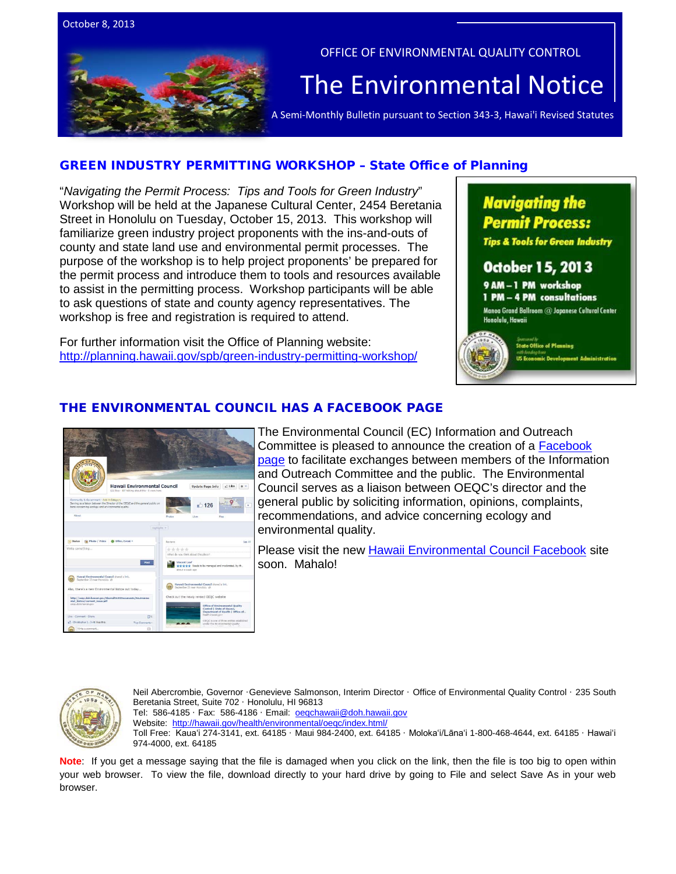



#### OFFICE OF ENVIRONMENTAL QUALITY CONTROL

# The  $\bar{\mathsf{Environmental} }$  Notice  $|$ <br>A Semi-Monthly Bulletin pursuant to Section 343-3, Hawai'i Revised Statutes

## [GREEN INDUSTRY PERMITTING WORKSHOP –](http://help.adobe.com/en_US/acrobat/X/standard/using/WS396794562021d52e6349d54412b33e3cd1c-8000.html) State Office of Planning

"*Navigating the Permit Process: Tips and Tools for Green Industry*" Workshop will be held at the Japanese Cultural Center, 2454 Beretania Street in Honolulu on Tuesday, October 15, 2013. This workshop will familiarize green industry project proponents with the ins-and-outs of county and state land use and environmental permit processes. The purpose of the workshop is to help project proponents' be prepared for the permit process and introduce them to tools and resources available to assist in the permitting process. Workshop participants will be able to ask questions of state and county agency representatives. The workshop is free and registration is required to attend.

For further information visit the Office of Planning website: <http://planning.hawaii.gov/spb/green-industry-permitting-workshop/>

# **Navigating the Permit Process:**

**Tips & Tools for Green Industry** 

## **October 15, 2013**

9 AM-1 PM workshop

1 PM - 4 PM consultations Manoa Grand Ballroom @ Japanese Cultural Center

Honolulu, Hawaii



**State Office of Planning** 

## THE ENVIRONMENTAL COUNCIL HAS A FACEBOOK PAGE



The Environmental Council (EC) Information and Outreach Committee is pleased to announce the creation of a [Facebook](https://www.facebook.com/HawaiiEnvironmentalCouncil)  [page](https://www.facebook.com/HawaiiEnvironmentalCouncil) to facilitate exchanges between members of the Information and Outreach Committee and the public. The Environmental Council serves as a liaison between OEQC's director and the general public by soliciting information, opinions, complaints, recommendations, and advice concerning ecology and environmental quality.

Please visit the new [Hawaii Environmental Council Facebook](https://www.facebook.com/HawaiiEnvironmentalCouncil) site soon. Mahalo!



Neil Abercrombie, Governor ·Genevieve Salmonson, Interim Director · Office of Environmental Quality Control · 235 South Beretania Street, Suite 702 · Honolulu, HI 96813 Tel: 586-4185 · Fax: 586-4186 · Email: oegchawaii@doh.hawaii.gov Website:<http://hawaii.gov/health/environmental/oeqc/index.html/> Toll Free: Kauaʻi 274-3141, ext. 64185 · Maui 984-2400, ext. 64185 · Molokaʻi/Lānaʻi 1-800-468-4644, ext. 64185 · Hawaiʻi

974-4000, ext. 64185

**Note**: If you get a message saying that the file is damaged when you click on the link, then the file is too big to open within your web browser. To view the file, download directly to your hard drive by going to File and select Save As in your web browser.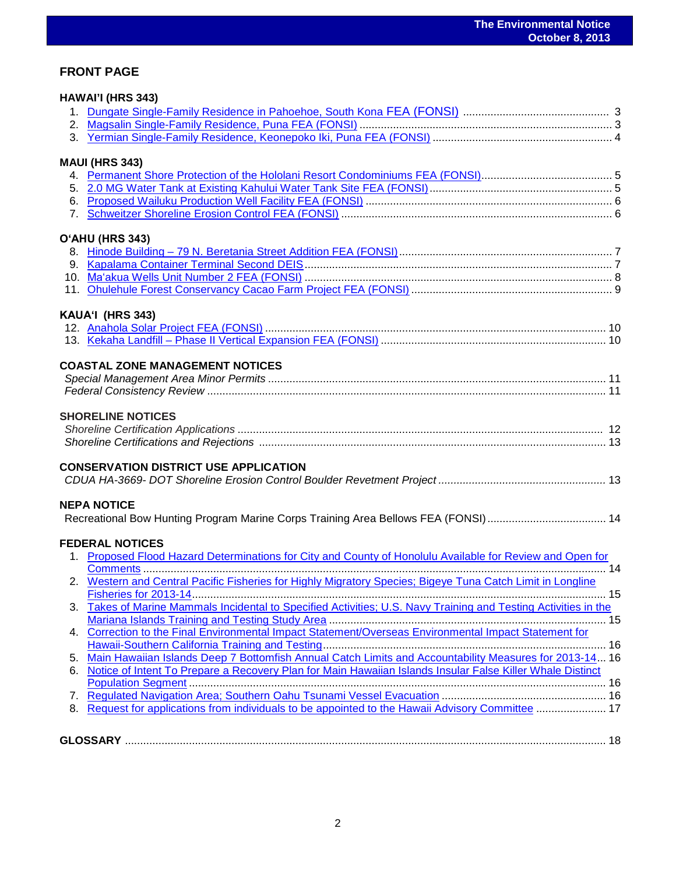## **FRONT PAGE**

|    | HAWAI'I (HRS 343)                                                                                            |  |
|----|--------------------------------------------------------------------------------------------------------------|--|
|    |                                                                                                              |  |
|    |                                                                                                              |  |
|    |                                                                                                              |  |
|    | <b>MAUI (HRS 343)</b>                                                                                        |  |
|    |                                                                                                              |  |
|    |                                                                                                              |  |
|    |                                                                                                              |  |
|    |                                                                                                              |  |
|    | O'AHU (HRS 343)                                                                                              |  |
|    |                                                                                                              |  |
|    |                                                                                                              |  |
|    |                                                                                                              |  |
|    |                                                                                                              |  |
|    | KAUA'I (HRS 343)                                                                                             |  |
|    |                                                                                                              |  |
|    |                                                                                                              |  |
|    | <b>COASTAL ZONE MANAGEMENT NOTICES</b>                                                                       |  |
|    |                                                                                                              |  |
|    |                                                                                                              |  |
|    |                                                                                                              |  |
|    | <b>SHORELINE NOTICES</b>                                                                                     |  |
|    |                                                                                                              |  |
|    |                                                                                                              |  |
|    | <b>CONSERVATION DISTRICT USE APPLICATION</b>                                                                 |  |
|    |                                                                                                              |  |
|    | <b>NEPA NOTICE</b>                                                                                           |  |
|    | Recreational Bow Hunting Program Marine Corps Training Area Bellows FEA (FONSI) 14                           |  |
|    | <b>FEDERAL NOTICES</b>                                                                                       |  |
|    | 1. Proposed Flood Hazard Determinations for City and County of Honolulu Available for Review and Open for    |  |
|    |                                                                                                              |  |
|    | 2. Western and Central Pacific Fisheries for Highly Migratory Species; Bigeye Tuna Catch Limit in Longline   |  |
|    |                                                                                                              |  |
| 3. | Takes of Marine Mammals Incidental to Specified Activities; U.S. Navy Training and Testing Activities in the |  |
|    |                                                                                                              |  |
|    | 4. Correction to the Final Environmental Impact Statement/Overseas Environmental Impact Statement for        |  |
|    |                                                                                                              |  |
| 5. | Main Hawaiian Islands Deep 7 Bottomfish Annual Catch Limits and Accountability Measures for 2013-14 16       |  |
| 6. | Notice of Intent To Prepare a Recovery Plan for Main Hawaiian Islands Insular False Killer Whale Distinct    |  |
|    |                                                                                                              |  |
| 7. |                                                                                                              |  |
| 8. | Request for applications from individuals to be appointed to the Hawaii Advisory Committee  17               |  |
|    |                                                                                                              |  |
|    |                                                                                                              |  |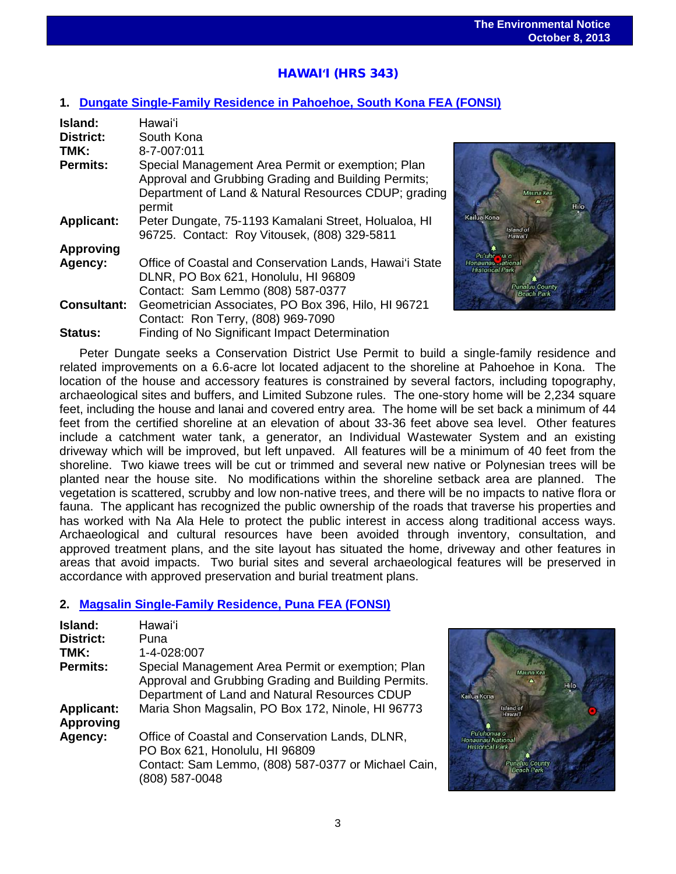## HAWAI**ʻ**I (HRS 343)

## **1. [Dungate Single-Family Residence](http://oeqc.doh.hawaii.gov/Shared%20Documents/EA_and_EIS_Online_Library/Hawaii/2010s/2013-10-08-HA-5E-FEA-Dungate-Single-Family-Residence-Pahoehoe-South-Kona.pdf) in Pahoehoe, South Kona FEA (FONSI)**

| Island:            | Hawai'i                                                                                                                                                                    |
|--------------------|----------------------------------------------------------------------------------------------------------------------------------------------------------------------------|
| District:          | South Kona                                                                                                                                                                 |
| TMK:               | 8-7-007:011                                                                                                                                                                |
| <b>Permits:</b>    | Special Management Area Permit or exemption; Plan<br>Approval and Grubbing Grading and Building Permits;<br>Department of Land & Natural Resources CDUP; grading<br>permit |
| <b>Applicant:</b>  | Peter Dungate, 75-1193 Kamalani Street, Holualoa, HI<br>96725. Contact: Roy Vitousek, (808) 329-5811                                                                       |
| <b>Approving</b>   |                                                                                                                                                                            |
| Agency:            | Office of Coastal and Conservation Lands, Hawai'i State<br>DLNR, PO Box 621, Honolulu, HI 96809<br>Contact: Sam Lemmo (808) 587-0377                                       |
| <b>Consultant:</b> | Geometrician Associates, PO Box 396, Hilo, HI 96721                                                                                                                        |
|                    | Contact: Ron Terry, (808) 969-7090                                                                                                                                         |
| Status:            | Finding of No Significant Impact Determination                                                                                                                             |



Peter Dungate seeks a Conservation District Use Permit to build a single-family residence and related improvements on a 6.6-acre lot located adjacent to the shoreline at Pahoehoe in Kona. The location of the house and accessory features is constrained by several factors, including topography, archaeological sites and buffers, and Limited Subzone rules. The one-story home will be 2,234 square feet, including the house and lanai and covered entry area. The home will be set back a minimum of 44 feet from the certified shoreline at an elevation of about 33-36 feet above sea level. Other features include a catchment water tank, a generator, an Individual Wastewater System and an existing driveway which will be improved, but left unpaved. All features will be a minimum of 40 feet from the shoreline. Two kiawe trees will be cut or trimmed and several new native or Polynesian trees will be planted near the house site. No modifications within the shoreline setback area are planned. The vegetation is scattered, scrubby and low non-native trees, and there will be no impacts to native flora or fauna. The applicant has recognized the public ownership of the roads that traverse his properties and has worked with Na Ala Hele to protect the public interest in access along traditional access ways. Archaeological and cultural resources have been avoided through inventory, consultation, and approved treatment plans, and the site layout has situated the home, driveway and other features in areas that avoid impacts. Two burial sites and several archaeological features will be preserved in accordance with approved preservation and burial treatment plans.

## **2. [Magsalin Single-Family Residence, Puna FEA \(FONSI\)](http://oeqc.doh.hawaii.gov/Shared%20Documents/EA_and_EIS_Online_Library/Hawaii/2010s/2013-10-08-HA-5E-FEA-Magsalin-Single-Family-Residence.pdf)**

| Island:                               | Hawai'i                                                                                                                                                    |
|---------------------------------------|------------------------------------------------------------------------------------------------------------------------------------------------------------|
| <b>District:</b>                      | Puna                                                                                                                                                       |
| TMK:                                  | 1-4-028:007                                                                                                                                                |
| <b>Permits:</b>                       | Special Management Area Permit or exemption; Plan<br>Approval and Grubbing Grading and Building Permits.<br>Department of Land and Natural Resources CDUP  |
| <b>Applicant:</b><br><b>Approving</b> | Maria Shon Magsalin, PO Box 172, Ninole, HI 96773                                                                                                          |
| Agency:                               | Office of Coastal and Conservation Lands, DLNR,<br>PO Box 621, Honolulu, HI 96809<br>Contact: Sam Lemmo, (808) 587-0377 or Michael Cain,<br>(808) 587-0048 |

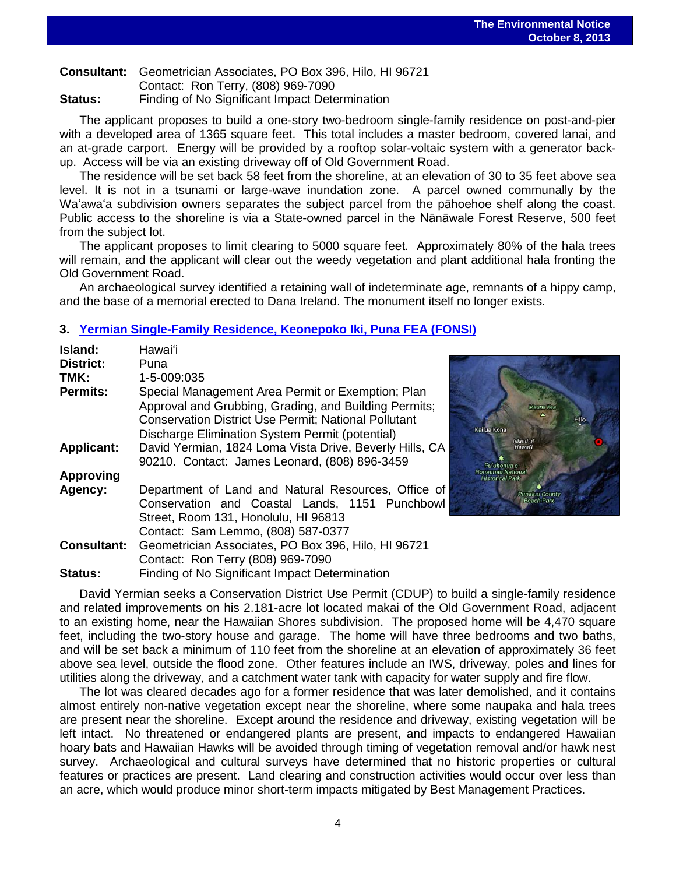**Consultant:** Geometrician Associates, PO Box 396, Hilo, HI 96721

Contact: Ron Terry, (808) 969-7090 **Status:** Finding of No Significant Impact Determination

The applicant proposes to build a one-story two-bedroom single-family residence on post-and-pier with a developed area of 1365 square feet. This total includes a master bedroom, covered lanai, and an at-grade carport. Energy will be provided by a rooftop solar-voltaic system with a generator backup. Access will be via an existing driveway off of Old Government Road.

The residence will be set back 58 feet from the shoreline, at an elevation of 30 to 35 feet above sea level. It is not in a tsunami or large-wave inundation zone. A parcel owned communally by the Waʻawaʻa subdivision owners separates the subject parcel from the pāhoehoe shelf along the coast. Public access to the shoreline is via a State-owned parcel in the Nānāwale Forest Reserve, 500 feet from the subject lot.

The applicant proposes to limit clearing to 5000 square feet. Approximately 80% of the hala trees will remain, and the applicant will clear out the weedy vegetation and plant additional hala fronting the Old Government Road.

An archaeological survey identified a retaining wall of indeterminate age, remnants of a hippy camp, and the base of a memorial erected to Dana Ireland. The monument itself no longer exists.

#### **3. [Yermian Single-Family Residence, Keonepoko Iki, Puna FEA \(FONSI\)](http://oeqc.doh.hawaii.gov/Shared%20Documents/EA_and_EIS_Online_Library/Hawaii/2010s/2013-10-08-HA-5E-FEA-Yermian-Single-Family-Residence-Keonepoko-Iki-in-Puna.pdf)**

| Island:<br>District: | Hawai'i<br>Puna                                                                                                                                                                                                              |  |
|----------------------|------------------------------------------------------------------------------------------------------------------------------------------------------------------------------------------------------------------------------|--|
| TMK:                 | 1-5-009:035                                                                                                                                                                                                                  |  |
| <b>Permits:</b>      | Special Management Area Permit or Exemption; Plan<br>Approval and Grubbing, Grading, and Building Permits;<br><b>Conservation District Use Permit; National Pollutant</b><br>Discharge Elimination System Permit (potential) |  |
| <b>Applicant:</b>    | David Yermian, 1824 Loma Vista Drive, Beverly Hills, CA<br>90210. Contact: James Leonard, (808) 896-3459                                                                                                                     |  |
| <b>Approving</b>     |                                                                                                                                                                                                                              |  |
| Agency:              | Department of Land and Natural Resources, Office of<br>Conservation and Coastal Lands, 1151 Punchbowl<br>Street, Room 131, Honolulu, HI 96813<br>Contact: Sam Lemmo, (808) 587-0377                                          |  |
| <b>Consultant:</b>   | Geometrician Associates, PO Box 396, Hilo, HI 96721<br>Contact: Ron Terry (808) 969-7090                                                                                                                                     |  |
| <b>Status:</b>       | Finding of No Significant Impact Determination                                                                                                                                                                               |  |



David Yermian seeks a Conservation District Use Permit (CDUP) to build a single-family residence and related improvements on his 2.181-acre lot located makai of the Old Government Road, adjacent to an existing home, near the Hawaiian Shores subdivision. The proposed home will be 4,470 square feet, including the two-story house and garage. The home will have three bedrooms and two baths, and will be set back a minimum of 110 feet from the shoreline at an elevation of approximately 36 feet above sea level, outside the flood zone. Other features include an IWS, driveway, poles and lines for utilities along the driveway, and a catchment water tank with capacity for water supply and fire flow.

The lot was cleared decades ago for a former residence that was later demolished, and it contains almost entirely non-native vegetation except near the shoreline, where some naupaka and hala trees are present near the shoreline. Except around the residence and driveway, existing vegetation will be left intact. No threatened or endangered plants are present, and impacts to endangered Hawaiian hoary bats and Hawaiian Hawks will be avoided through timing of vegetation removal and/or hawk nest survey. Archaeological and cultural surveys have determined that no historic properties or cultural features or practices are present. Land clearing and construction activities would occur over less than an acre, which would produce minor short-term impacts mitigated by Best Management Practices.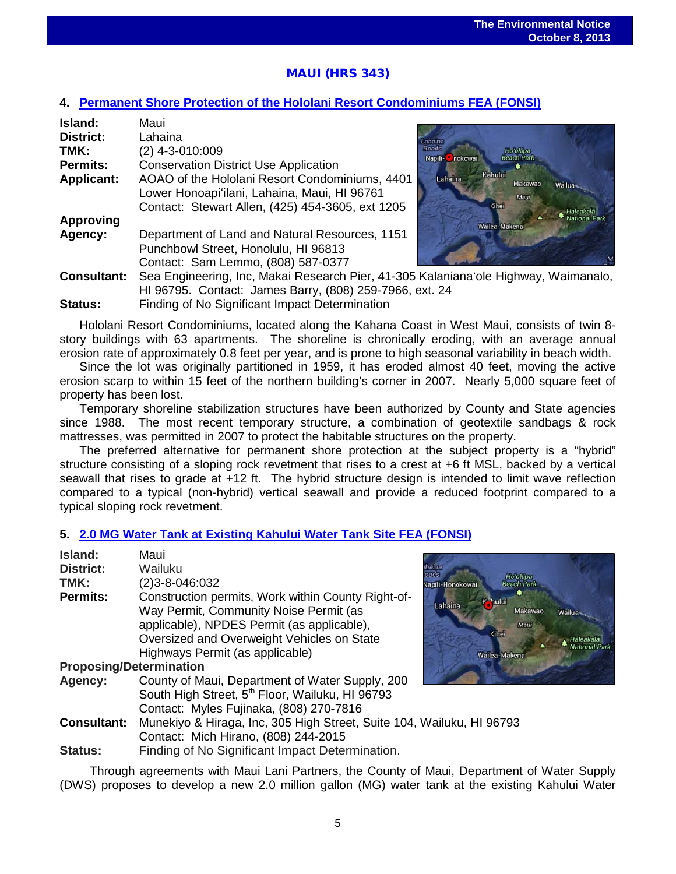# MAUI (HRS 343)

#### **4. [Permanent Shore Protection of the Hololani Resort Condominiums FEA \(FONSI\)](http://oeqc.doh.hawaii.gov/Shared%20Documents/EA_and_EIS_Online_Library/Maui/2010s/2013-10-08-MA-5E-FEA-Hololani-Permanent-Shoreline-Protection.pdf)**

| Island:            | Maui                                                                                |                          |                               |        |
|--------------------|-------------------------------------------------------------------------------------|--------------------------|-------------------------------|--------|
| <b>District:</b>   | Lahaina                                                                             | Lahaina                  |                               |        |
| TMK:               | (2) 4-3-010:009                                                                     | <b>Roads</b>             | Ho'okipa<br><b>Beach Park</b> |        |
| <b>Permits:</b>    | <b>Conservation District Use Application</b>                                        | Napili- <b>C</b> nokowai |                               |        |
| <b>Applicant:</b>  | AOAO of the Hololani Resort Condominiums, 4401                                      | Lahaina                  | Kahului<br>Makawao            | Wailua |
|                    | Lower Honoapi'ilani, Lahaina, Maui, HI 96761                                        |                          | Maui                          |        |
|                    | Contact: Stewart Allen, (425) 454-3605, ext 1205                                    |                          | <b>Kihei</b>                  |        |
| <b>Approving</b>   |                                                                                     |                          | Wailea-Makena                 |        |
| Agency:            | Department of Land and Natural Resources, 1151                                      |                          |                               |        |
|                    | Punchbowl Street, Honolulu, HI 96813                                                |                          |                               |        |
|                    | Contact: Sam Lemmo, (808) 587-0377                                                  |                          |                               |        |
| <b>Consultant:</b> | Sea Engineering, Inc, Makai Research Pier, 41-305 Kalaniana'ole Highway, Waimanalo, |                          |                               |        |
|                    | HI 96795. Contact: James Barry, (808) 259-7966, ext. 24                             |                          |                               |        |

**Status:** Finding of No Significant Impact Determination

Hololani Resort Condominiums, located along the Kahana Coast in West Maui, consists of twin 8 story buildings with 63 apartments. The shoreline is chronically eroding, with an average annual erosion rate of approximately 0.8 feet per year, and is prone to high seasonal variability in beach width.

Since the lot was originally partitioned in 1959, it has eroded almost 40 feet, moving the active erosion scarp to within 15 feet of the northern building's corner in 2007. Nearly 5,000 square feet of property has been lost.

Temporary shoreline stabilization structures have been authorized by County and State agencies since 1988. The most recent temporary structure, a combination of geotextile sandbags & rock mattresses, was permitted in 2007 to protect the habitable structures on the property.

The preferred alternative for permanent shore protection at the subject property is a "hybrid" structure consisting of a sloping rock revetment that rises to a crest at +6 ft MSL, backed by a vertical seawall that rises to grade at +12 ft. The hybrid structure design is intended to limit wave reflection compared to a typical (non-hybrid) vertical seawall and provide a reduced footprint compared to a typical sloping rock revetment.

## **5. [2.0 MG Water Tank at Existing Kahului Water Tank Site](http://oeqc.doh.hawaii.gov/Shared%20Documents/EA_and_EIS_Online_Library/Maui/2010s/2013-10-08-MA-5B-FEA-2MG-Water-Tank-at-Existing-Water-Tank-Site-in-Kahului.pdf) FEA (FONSI)**

| Island:                        | Maui                                                                  |                                   |
|--------------------------------|-----------------------------------------------------------------------|-----------------------------------|
| <b>District:</b>               | Wailuku                                                               | ads                               |
| TMK:                           | (2) 3-8-046:032                                                       | Ho'o<br>Beach<br>Vapili-Honokowai |
| <b>Permits:</b>                | Construction permits, Work within County Right-of-                    | K hului<br>Lahaina                |
|                                | Way Permit, Community Noise Permit (as                                |                                   |
|                                | applicable), NPDES Permit (as applicable),                            |                                   |
|                                | Oversized and Overweight Vehicles on State                            | Kihei                             |
|                                | Highways Permit (as applicable)                                       | <b>Wailea-Maker</b>               |
| <b>Proposing/Determination</b> |                                                                       |                                   |
| Agency:                        | County of Maui, Department of Water Supply, 200                       |                                   |
|                                | South High Street, 5th Floor, Wailuku, HI 96793                       |                                   |
|                                | Contact: Myles Fujinaka, (808) 270-7816                               |                                   |
| <b>Consultant:</b>             | Munekiyo & Hiraga, Inc, 305 High Street, Suite 104, Wailuku, HI 96793 |                                   |
|                                | Contact: Mich Hirano, (808) 244-2015                                  |                                   |
| <b>Status:</b>                 | Finding of No Significant Impact Determination.                       |                                   |

Through agreements with Maui Lani Partners, the County of Maui, Department of Water Supply (DWS) proposes to develop a new 2.0 million gallon (MG) water tank at the existing Kahului Water

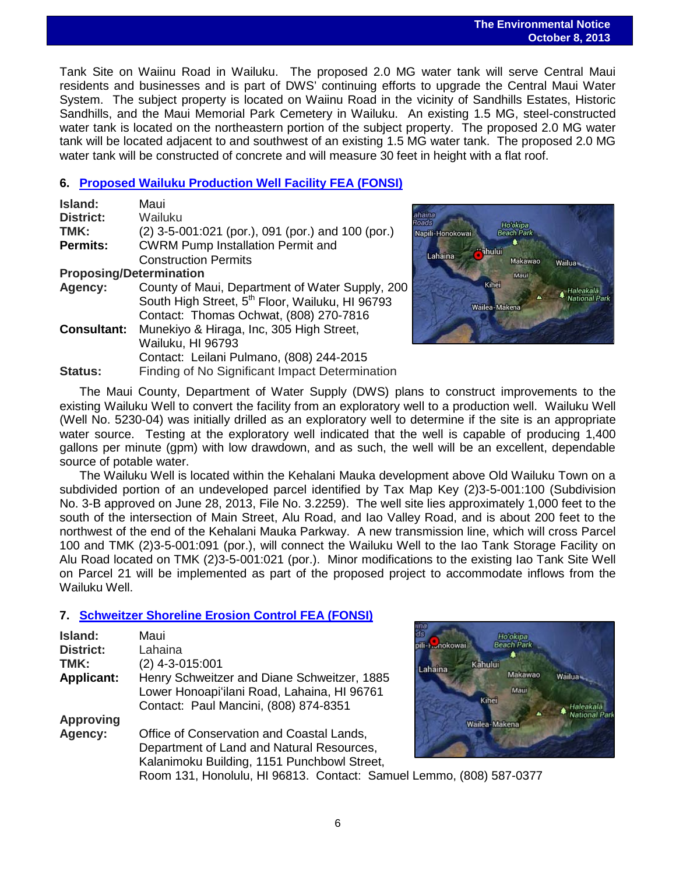#### **The Environmental Notice October 8, 2013**

 Tank Site on Waiinu Road in Wailuku. The proposed 2.0 MG water tank will serve Central Maui residents and businesses and is part of DWS' continuing efforts to upgrade the Central Maui Water System. The subject property is located on Waiinu Road in the vicinity of Sandhills Estates, Historic Sandhills, and the Maui Memorial Park Cemetery in Wailuku. An existing 1.5 MG, steel-constructed water tank is located on the northeastern portion of the subject property. The proposed 2.0 MG water tank will be located adjacent to and southwest of an existing 1.5 MG water tank. The proposed 2.0 MG water tank will be constructed of concrete and will measure 30 feet in height with a flat roof.

#### **6. [Proposed Wailuku Production Well Facility FEA \(FONSI\)](http://oeqc.doh.hawaii.gov/Shared%20Documents/EA_and_EIS_Online_Library/Maui/2010s/2013-10-08-MA-5B-FEA-Wailuku-Production-Well.pdf)**

| Island:                        | Maui                                                        |
|--------------------------------|-------------------------------------------------------------|
| <b>District:</b>               | Wailuku                                                     |
| TMK:                           | (2) 3-5-001:021 (por.), 091 (por.) and 100 (por.)           |
| <b>Permits:</b>                | <b>CWRM Pump Installation Permit and</b>                    |
|                                | <b>Construction Permits</b>                                 |
| <b>Proposing/Determination</b> |                                                             |
| Agency:                        | County of Maui, Department of Water Supply, 200             |
|                                | South High Street, 5 <sup>th</sup> Floor, Wailuku, HI 96793 |
|                                | Contact: Thomas Ochwat, (808) 270-7816                      |
| <b>Consultant:</b>             | Munekiyo & Hiraga, Inc, 305 High Street,                    |
|                                | Wailuku, HI 96793                                           |
|                                | Contact: Leilani Pulmano, (808) 244-2015                    |
| <b>Status:</b>                 | Finding of No Significant Impact Determination              |

haina  $oads$ Ho'okipa Napili-Honokowai **Beach Park** hului Lahaina Makawao Wailua -Mau Kihel Haleakalā **National Park** Wailea-Makena

The Maui County, Department of Water Supply (DWS) plans to construct improvements to the existing Wailuku Well to convert the facility from an exploratory well to a production well. Wailuku Well (Well No. 5230-04) was initially drilled as an exploratory well to determine if the site is an appropriate water source. Testing at the exploratory well indicated that the well is capable of producing 1.400 gallons per minute (gpm) with low drawdown, and as such, the well will be an excellent, dependable source of potable water.

The Wailuku Well is located within the Kehalani Mauka development above Old Wailuku Town on a subdivided portion of an undeveloped parcel identified by Tax Map Key (2)3-5-001:100 (Subdivision No. 3-B approved on June 28, 2013, File No. 3.2259). The well site lies approximately 1,000 feet to the south of the intersection of Main Street, Alu Road, and Iao Valley Road, and is about 200 feet to the northwest of the end of the Kehalani Mauka Parkway. A new transmission line, which will cross Parcel 100 and TMK (2)3-5-001:091 (por.), will connect the Wailuku Well to the Iao Tank Storage Facility on Alu Road located on TMK (2)3-5-001:021 (por.). Minor modifications to the existing Iao Tank Site Well on Parcel 21 will be implemented as part of the proposed project to accommodate inflows from the Wailuku Well.

## **7. [Schweitzer Shoreline Erosion Control](http://oeqc.doh.hawaii.gov/Shared%20Documents/EA_and_EIS_Online_Library/Maui/2010s/2013-10-08-MA-5E-FEA-Schweitzer-Shoreline-Erosion-Control-in-Lahaina.pdf) FEA (FONSI)**

| Island:<br><b>District:</b><br>TMK: | Maui<br>Lahaina<br>$(2)$ 4-3-015:001                                                                                                  |
|-------------------------------------|---------------------------------------------------------------------------------------------------------------------------------------|
| <b>Applicant:</b>                   | Henry Schweitzer and Diane Schweitzer, 1885<br>Lower Honoapi'ilani Road, Lahaina, HI 96761<br>Contact: Paul Mancini, (808) 874-8351   |
| <b>Approving</b>                    |                                                                                                                                       |
| Agency:                             | Office of Conservation and Coastal Lands,<br>Department of Land and Natural Resources,<br>Kalanimoku Building, 1151 Punchbowl Street, |



Room 131, Honolulu, HI 96813. Contact: Samuel Lemmo, (808) 587-0377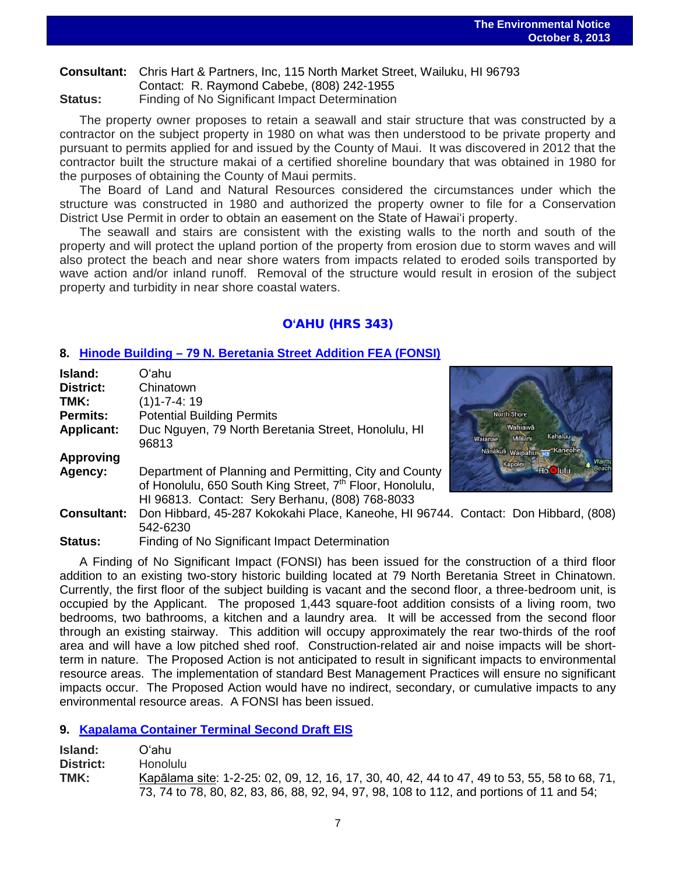## **Consultant:** Chris Hart & Partners, Inc, 115 North Market Street, Wailuku, HI 96793 Contact: R. Raymond Cabebe, (808) 242-1955 **Status:** Finding of No Significant Impact Determination

The property owner proposes to retain a seawall and stair structure that was constructed by a contractor on the subject property in 1980 on what was then understood to be private property and pursuant to permits applied for and issued by the County of Maui. It was discovered in 2012 that the contractor built the structure makai of a certified shoreline boundary that was obtained in 1980 for the purposes of obtaining the County of Maui permits.

The Board of Land and Natural Resources considered the circumstances under which the structure was constructed in 1980 and authorized the property owner to file for a Conservation District Use Permit in order to obtain an easement on the State of Hawaiʻi property.

The seawall and stairs are consistent with the existing walls to the north and south of the property and will protect the upland portion of the property from erosion due to storm waves and will also protect the beach and near shore waters from impacts related to eroded soils transported by wave action and/or inland runoff. Removal of the structure would result in erosion of the subject property and turbidity in near shore coastal waters.

## O**ʻ**AHU (HRS 343)

## **8. Hinode Building – [79 N. Beretania Street Addition FEA \(FONSI\)](http://oeqc.doh.hawaii.gov/Shared%20Documents/EA_and_EIS_Online_Library/Oahu/2010s/2013-10-08-OA-5B-FEA-Hinode-Building-79-N-Beretania-Street-Addition.pdf)**

| Island:            | Oʻahu.                                                                             |                                                  |
|--------------------|------------------------------------------------------------------------------------|--------------------------------------------------|
| District:          | Chinatown                                                                          |                                                  |
| TMK:               | $(1)1 - 7 - 4:19$                                                                  |                                                  |
| <b>Permits:</b>    | <b>Potential Building Permits</b>                                                  | North Shore                                      |
| <b>Applicant:</b>  | Duc Nguyen, 79 North Beretania Street, Honolulu, HI<br>96813                       | Wahiawa<br><b>Kahaluu</b><br>Mililani<br>Waianae |
| <b>Approving</b>   |                                                                                    | Nanakuli waipahu H3 Kaneohe<br>Kapolei           |
| Agency:            | Department of Planning and Permitting, City and County                             | Hot lulu                                         |
|                    | of Honolulu, 650 South King Street, 7 <sup>th</sup> Floor, Honolulu,               |                                                  |
|                    | HI 96813. Contact: Sery Berhanu, (808) 768-8033                                    |                                                  |
| <b>Consultant:</b> | Don Hibbard, 45-287 Kokokahi Place, Kaneohe, HI 96744. Contact: Don Hibbard, (808) |                                                  |
|                    | 542-6230                                                                           |                                                  |
| Status:            | Finding of No Significant Impact Determination                                     |                                                  |



A Finding of No Significant Impact (FONSI) has been issued for the construction of a third floor addition to an existing two-story historic building located at 79 North Beretania Street in Chinatown. Currently, the first floor of the subject building is vacant and the second floor, a three-bedroom unit, is occupied by the Applicant. The proposed 1,443 square-foot addition consists of a living room, two bedrooms, two bathrooms, a kitchen and a laundry area. It will be accessed from the second floor through an existing stairway. This addition will occupy approximately the rear two-thirds of the roof area and will have a low pitched shed roof. Construction-related air and noise impacts will be shortterm in nature. The Proposed Action is not anticipated to result in significant impacts to environmental resource areas. The implementation of standard Best Management Practices will ensure no significant impacts occur. The Proposed Action would have no indirect, secondary, or cumulative impacts to any environmental resource areas. A FONSI has been issued.

## **9. [Kapalama Container Terminal Second Draft EIS](http://oeqc.doh.hawaii.gov/Shared%20Documents/EA_and_EIS_Online_Library/Oahu/2010s/2013-10-08-OA-5B-Second-DEIS-Kapalama-Container-Terminal.pdf)**

| Island:   | Oʻahu.                                                                                       |
|-----------|----------------------------------------------------------------------------------------------|
| District: | Honolulu                                                                                     |
| TMK:      | Kapālama site: 1-2-25: 02, 09, 12, 16, 17, 30, 40, 42, 44 to 47, 49 to 53, 55, 58 to 68, 71, |
|           | 73, 74 to 78, 80, 82, 83, 86, 88, 92, 94, 97, 98, 108 to 112, and portions of 11 and 54;     |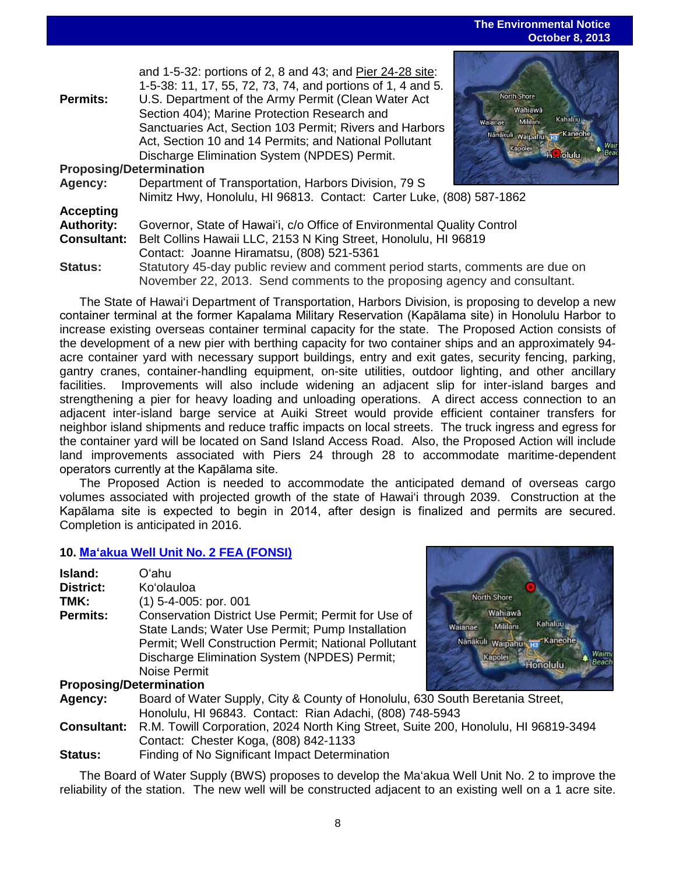#### **The Environmental Notice October 8, 2013**

|                                                                                       | and 1-5-32: portions of 2, 8 and 43; and Pier 24-28 site:                                                                                                                                                                                                                |                                                                                                                       |
|---------------------------------------------------------------------------------------|--------------------------------------------------------------------------------------------------------------------------------------------------------------------------------------------------------------------------------------------------------------------------|-----------------------------------------------------------------------------------------------------------------------|
|                                                                                       | 1-5-38: 11, 17, 55, 72, 73, 74, and portions of 1, 4 and 5.                                                                                                                                                                                                              |                                                                                                                       |
| <b>Permits:</b>                                                                       | U.S. Department of the Army Permit (Clean Water Act<br>Section 404); Marine Protection Research and<br>Sanctuaries Act, Section 103 Permit; Rivers and Harbors<br>Act, Section 10 and 14 Permits; and National Pollutant<br>Discharge Elimination System (NPDES) Permit. | North Shore<br>Wahiawā<br>Kahaluu<br>Mililani<br>Waianae<br>Nanakuli waipahu H3 Kaneohe<br>Kapolei<br><b>H</b> jolulu |
| <b>Proposing/Determination</b>                                                        |                                                                                                                                                                                                                                                                          |                                                                                                                       |
| Agency:                                                                               | Department of Transportation, Harbors Division, 79 S                                                                                                                                                                                                                     |                                                                                                                       |
|                                                                                       | Nimitz Hwy, Honolulu, HI 96813. Contact: Carter Luke, (808) 587-1862                                                                                                                                                                                                     |                                                                                                                       |
| <b>Accepting</b>                                                                      |                                                                                                                                                                                                                                                                          |                                                                                                                       |
| <b>Authority:</b>                                                                     | Governor, State of Hawai'i, c/o Office of Environmental Quality Control                                                                                                                                                                                                  |                                                                                                                       |
| <b>Consultant:</b><br>Belt Collins Hawaii LLC, 2153 N King Street, Honolulu, HI 96819 |                                                                                                                                                                                                                                                                          |                                                                                                                       |
|                                                                                       | Contact: Joanne Hiramatsu, (808) 521-5361                                                                                                                                                                                                                                |                                                                                                                       |
| <b>Status:</b>                                                                        | Statutory 45-day public review and comment period starts, comments are due on<br>November 22, 2013. Send comments to the proposing agency and consultant.                                                                                                                |                                                                                                                       |

The State of Hawai'i Department of Transportation, Harbors Division, is proposing to develop a new container terminal at the former Kapalama Military Reservation (Kapālama site) in Honolulu Harbor to increase existing overseas container terminal capacity for the state. The Proposed Action consists of the development of a new pier with berthing capacity for two container ships and an approximately 94 acre container yard with necessary support buildings, entry and exit gates, security fencing, parking, gantry cranes, container-handling equipment, on-site utilities, outdoor lighting, and other ancillary facilities. Improvements will also include widening an adjacent slip for inter-island barges and strengthening a pier for heavy loading and unloading operations. A direct access connection to an adjacent inter-island barge service at Auiki Street would provide efficient container transfers for neighbor island shipments and reduce traffic impacts on local streets. The truck ingress and egress for the container yard will be located on Sand Island Access Road. Also, the Proposed Action will include land improvements associated with Piers 24 through 28 to accommodate maritime-dependent operators currently at the Kapālama site.

The Proposed Action is needed to accommodate the anticipated demand of overseas cargo volumes associated with projected growth of the state of Hawai'i through 2039. Construction at the Kapālama site is expected to begin in 2014, after design is finalized and permits are secured. Completion is anticipated in 2016.

#### **10. Maʻ[akua Well Unit No. 2](http://oeqc.doh.hawaii.gov/Shared%20Documents/EA_and_EIS_Online_Library/Oahu/2010s/2013-10-08-OA-5B-FEA-Maakua-Wells-Unit-Number-2.pdf) FEA (FONSI)**

| Island:                        | Oʻahu                                                |
|--------------------------------|------------------------------------------------------|
| <b>District:</b>               | Ko'olauloa                                           |
| TMK:                           | $(1)$ 5-4-005: por. 001                              |
| <b>Permits:</b>                | Conservation District Use Permit; Permit for Use of  |
|                                | State Lands; Water Use Permit; Pump Installation     |
|                                | Permit; Well Construction Permit; National Pollutant |
|                                | Discharge Elimination System (NPDES) Permit;         |
|                                | Noise Permit                                         |
| <b>Proposing/Determination</b> |                                                      |



| Board of Water Supply, City & County of Honolulu, 630 South Beretania Street,                          |
|--------------------------------------------------------------------------------------------------------|
| Honolulu, HI 96843. Contact: Rian Adachi, (808) 748-5943                                               |
| <b>Consultant:</b> R.M. Towill Corporation, 2024 North King Street, Suite 200, Honolulu, HI 96819-3494 |
| Contact: Chester Koga, (808) 842-1133                                                                  |
| Finding of No Significant Impact Determination                                                         |
|                                                                                                        |

The Board of Water Supply (BWS) proposes to develop the Ma'akua Well Unit No. 2 to improve the reliability of the station. The new well will be constructed adjacent to an existing well on a 1 acre site.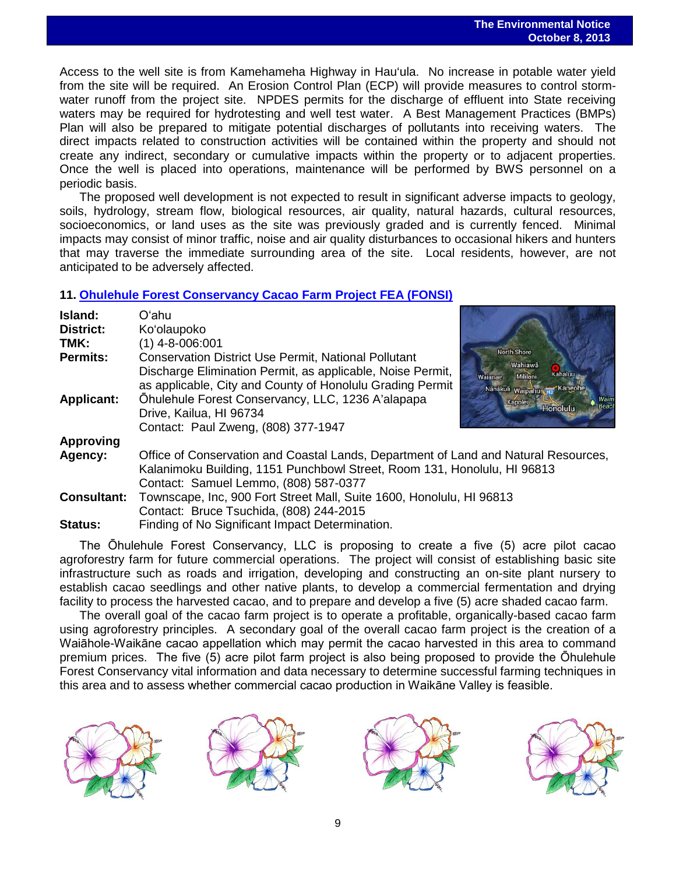Access to the well site is from Kamehameha Highway in Hau'ula. No increase in potable water yield from the site will be required. An Erosion Control Plan (ECP) will provide measures to control stormwater runoff from the project site. NPDES permits for the discharge of effluent into State receiving waters may be required for hydrotesting and well test water. A Best Management Practices (BMPs) Plan will also be prepared to mitigate potential discharges of pollutants into receiving waters. The direct impacts related to construction activities will be contained within the property and should not create any indirect, secondary or cumulative impacts within the property or to adjacent properties. Once the well is placed into operations, maintenance will be performed by BWS personnel on a periodic basis.

The proposed well development is not expected to result in significant adverse impacts to geology, soils, hydrology, stream flow, biological resources, air quality, natural hazards, cultural resources, socioeconomics, or land uses as the site was previously graded and is currently fenced. Minimal impacts may consist of minor traffic, noise and air quality disturbances to occasional hikers and hunters that may traverse the immediate surrounding area of the site. Local residents, however, are not anticipated to be adversely affected.

## **11. [Ohulehule Forest Conservancy Cacao Farm Project FEA \(FONSI\)](http://oeqc.doh.hawaii.gov/Shared%20Documents/EA_and_EIS_Online_Library/Oahu/2010s/2013-10-08-OA-5E-FEA-Ohulehule-Forest-Conservancy-Cacao-Farm.pdf)**

| Island:                              | Oʻahu                                                                                                                                                                                                                                                                                                         |                                                                                                                             |
|--------------------------------------|---------------------------------------------------------------------------------------------------------------------------------------------------------------------------------------------------------------------------------------------------------------------------------------------------------------|-----------------------------------------------------------------------------------------------------------------------------|
| <b>District:</b>                     | Ko'olaupoko                                                                                                                                                                                                                                                                                                   |                                                                                                                             |
| TMK:                                 | $(1)$ 4-8-006:001                                                                                                                                                                                                                                                                                             |                                                                                                                             |
| <b>Permits:</b><br><b>Applicant:</b> | <b>Conservation District Use Permit, National Pollutant</b><br>Discharge Elimination Permit, as applicable, Noise Permit,<br>as applicable, City and County of Honolulu Grading Permit<br>Öhulehule Forest Conservancy, LLC, 1236 A'alapapa<br>Drive, Kailua, HI 96734<br>Contact: Paul Zweng, (808) 377-1947 | <b>North Shore</b><br>Wahiawā<br><b>Kahaluu</b><br>Mililani<br>Wajanae<br>Nänäkuli waipahu Ha Kaneoh<br>Kapolei<br>Honolulu |
| <b>Approving</b>                     |                                                                                                                                                                                                                                                                                                               |                                                                                                                             |
| Agency:                              | Office of Conservation and Coastal Lands, Department of Land and Natural Resources,<br>Kalanimoku Building, 1151 Punchbowl Street, Room 131, Honolulu, HI 96813<br>Contact: Samuel Lemmo, (808) 587-0377                                                                                                      |                                                                                                                             |
| <b>Consultant:</b>                   | Townscape, Inc, 900 Fort Street Mall, Suite 1600, Honolulu, HI 96813<br>Contact: Bruce Tsuchida, (808) 244-2015                                                                                                                                                                                               |                                                                                                                             |
| <b>Status:</b>                       | Finding of No Significant Impact Determination.                                                                                                                                                                                                                                                               |                                                                                                                             |

The Ōhulehule Forest Conservancy, LLC is proposing to create a five (5) acre pilot cacao agroforestry farm for future commercial operations. The project will consist of establishing basic site infrastructure such as roads and irrigation, developing and constructing an on-site plant nursery to establish cacao seedlings and other native plants, to develop a commercial fermentation and drying facility to process the harvested cacao, and to prepare and develop a five (5) acre shaded cacao farm.

The overall goal of the cacao farm project is to operate a profitable, organically-based cacao farm using agroforestry principles. A secondary goal of the overall cacao farm project is the creation of a Waiāhole-Waikāne cacao appellation which may permit the cacao harvested in this area to command premium prices. The five (5) acre pilot farm project is also being proposed to provide the Ōhulehule Forest Conservancy vital information and data necessary to determine successful farming techniques in this area and to assess whether commercial cacao production in Waikāne Valley is feasible.







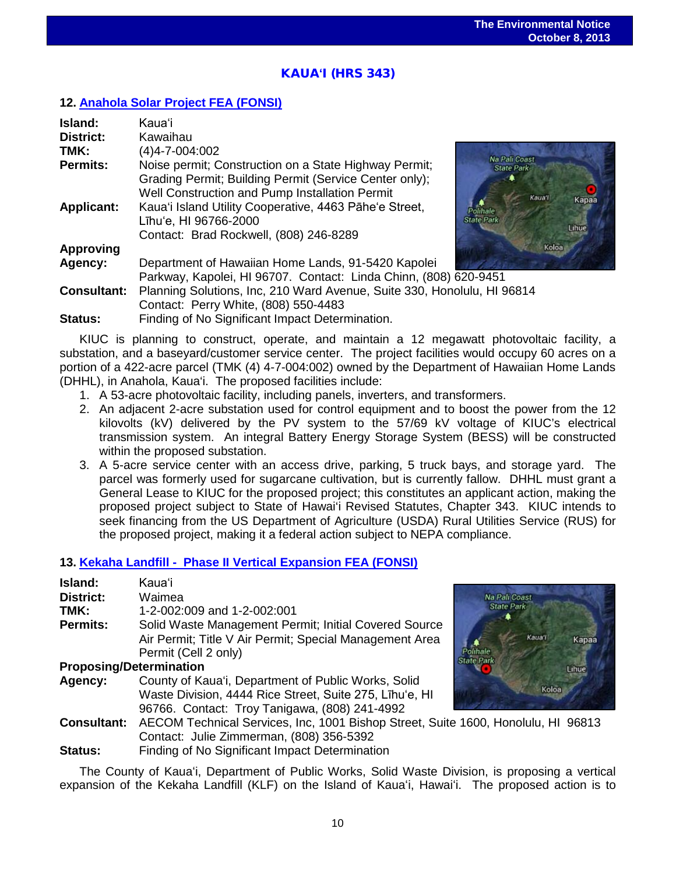## KAUA**ʻ**I (HRS 343)

## **12. [Anahola Solar Project](http://oeqc.doh.hawaii.gov/Shared%20Documents/EA_and_EIS_Online_Library/Kauai/2010s/2013-10-08-KA-5E-FEA-Anahola-Solar-Project.pdf) FEA (FONSI)**

| Island:            | Kaua'i                                                                                                                                                                                                            |
|--------------------|-------------------------------------------------------------------------------------------------------------------------------------------------------------------------------------------------------------------|
| <b>District:</b>   | Kawaihau                                                                                                                                                                                                          |
| TMK:               | (4)4-7-004:002                                                                                                                                                                                                    |
| Permits:           | Na Pali Coast<br>Noise permit; Construction on a State Highway Permit;<br><b>State Park</b><br>Grading Permit; Building Permit (Service Center only);<br>Well Construction and Pump Installation Permit<br>Kaua'i |
| <b>Applicant:</b>  | Kapa<br>Kaua'i Island Utility Cooperative, 4463 Pāhe'e Street,<br>Polihale<br><b>State Park</b><br>Līhu'e, HI 96766-2000<br>Lihue<br>Contact: Brad Rockwell, (808) 246-8289                                       |
| <b>Approving</b>   | Koloa                                                                                                                                                                                                             |
| Agency:            | Department of Hawaiian Home Lands, 91-5420 Kapolei                                                                                                                                                                |
|                    | Parkway, Kapolei, HI 96707. Contact: Linda Chinn, (808) 620-9451                                                                                                                                                  |
| <b>Consultant:</b> | Planning Solutions, Inc, 210 Ward Avenue, Suite 330, Honolulu, HI 96814<br>Contact: Perry White, (808) 550-4483                                                                                                   |
| Status:            | Finding of No Significant Impact Determination.                                                                                                                                                                   |

KIUC is planning to construct, operate, and maintain a 12 megawatt photovoltaic facility, a substation, and a baseyard/customer service center. The project facilities would occupy 60 acres on a portion of a 422-acre parcel (TMK (4) 4-7-004:002) owned by the Department of Hawaiian Home Lands (DHHL), in Anahola, Kaua'i. The proposed facilities include:

- 1. A 53-acre photovoltaic facility, including panels, inverters, and transformers.
- 2. An adjacent 2-acre substation used for control equipment and to boost the power from the 12 kilovolts (kV) delivered by the PV system to the 57/69 kV voltage of KIUC's electrical transmission system. An integral Battery Energy Storage System (BESS) will be constructed within the proposed substation.
- 3. A 5-acre service center with an access drive, parking, 5 truck bays, and storage yard. The parcel was formerly used for sugarcane cultivation, but is currently fallow. DHHL must grant a General Lease to KIUC for the proposed project; this constitutes an applicant action, making the proposed project subject to State of Hawai'i Revised Statutes, Chapter 343. KIUC intends to seek financing from the US Department of Agriculture (USDA) Rural Utilities Service (RUS) for the proposed project, making it a federal action subject to NEPA compliance.

#### **13. [Kekaha Landfill - Phase II Vertical Expansion FEA \(FONSI\)](http://oeqc.doh.hawaii.gov/Shared%20Documents/EA_and_EIS_Online_Library/Kauai/2010s/2013-10-08-KA-5B-FEA-Kekaha-Landfill-Phase-II-Vertical-Expansion.pdf)**

| Island:                        | Kauaʻi                                                                            |                      |  |
|--------------------------------|-----------------------------------------------------------------------------------|----------------------|--|
| District:                      | Waimea                                                                            | <b>Na Pali Coast</b> |  |
| TMK:                           | 1-2-002:009 and 1-2-002:001                                                       | <b>State Park</b>    |  |
| <b>Permits:</b>                | Solid Waste Management Permit; Initial Covered Source                             |                      |  |
|                                | Air Permit; Title V Air Permit; Special Management Area                           | Kaua'i<br>Kapaa      |  |
|                                | Permit (Cell 2 only)                                                              |                      |  |
| <b>Proposing/Determination</b> |                                                                                   | Lihue                |  |
| Agency:                        | County of Kaua'i, Department of Public Works, Solid                               |                      |  |
|                                | Waste Division, 4444 Rice Street, Suite 275, Līhu'e, HI                           | Koloa                |  |
|                                | 96766. Contact: Troy Tanigawa, (808) 241-4992                                     |                      |  |
| <b>Consultant:</b>             | AECOM Technical Services, Inc, 1001 Bishop Street, Suite 1600, Honolulu, HI 96813 |                      |  |
|                                | Contact: Julie Zimmerman, (808) 356-5392                                          |                      |  |
| Status:                        | Finding of No Significant Impact Determination                                    |                      |  |

The County of Kauaʻi, Department of Public Works, Solid Waste Division, is proposing a vertical expansion of the Kekaha Landfill (KLF) on the Island of Kauaʻi, Hawaiʻi. The proposed action is to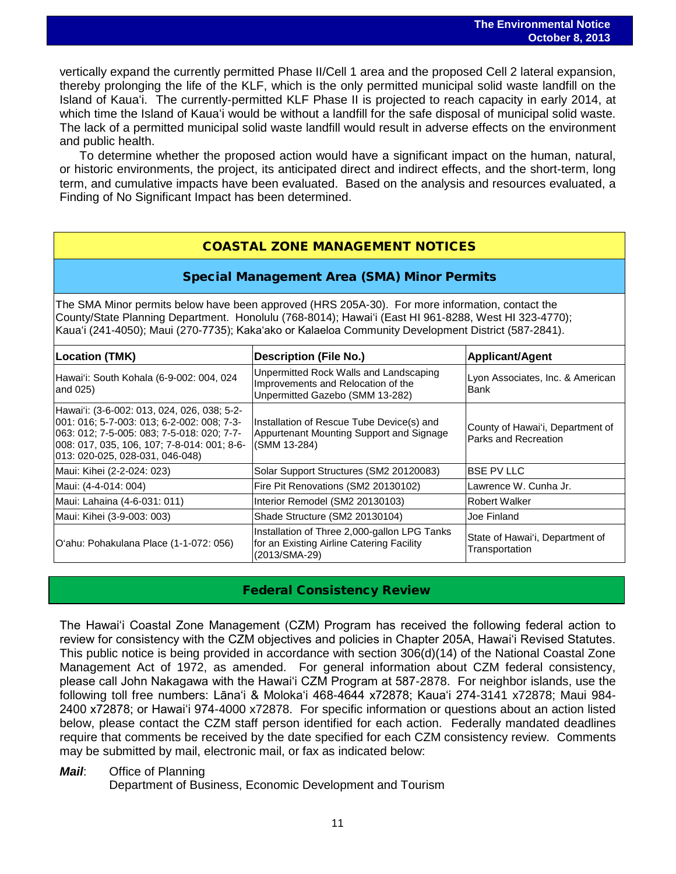vertically expand the currently permitted Phase II/Cell 1 area and the proposed Cell 2 lateral expansion, thereby prolonging the life of the KLF, which is the only permitted municipal solid waste landfill on the Island of Kauaʻi. The currently-permitted KLF Phase II is projected to reach capacity in early 2014, at which time the Island of Kauaʻi would be without a landfill for the safe disposal of municipal solid waste. The lack of a permitted municipal solid waste landfill would result in adverse effects on the environment and public health.

To determine whether the proposed action would have a significant impact on the human, natural, or historic environments, the project, its anticipated direct and indirect effects, and the short-term, long term, and cumulative impacts have been evaluated. Based on the analysis and resources evaluated, a Finding of No Significant Impact has been determined.

## COASTAL ZONE MANAGEMENT NOTICES

## Special Management Area (SMA) Minor Permits

The SMA Minor permits below have been approved (HRS 205A-30). For more information, contact the County/State Planning Department. Honolulu (768-8014); Hawaiʻi (East HI 961-8288, West HI 323-4770); Kauaʻi (241-4050); Maui (270-7735); Kakaʻako or Kalaeloa Community Development District (587-2841).

| Location (TMK)                                                                                                                                                                                                            | <b>Description (File No.)</b>                                                                                   | <b>Applicant/Agent</b>                                          |  |
|---------------------------------------------------------------------------------------------------------------------------------------------------------------------------------------------------------------------------|-----------------------------------------------------------------------------------------------------------------|-----------------------------------------------------------------|--|
| Hawai'i: South Kohala (6-9-002: 004, 024<br>and 025)                                                                                                                                                                      | Unpermitted Rock Walls and Landscaping<br>Improvements and Relocation of the<br>Unpermitted Gazebo (SMM 13-282) | Lyon Associates, Inc. & American<br>Bank                        |  |
| Hawai'i: (3-6-002: 013, 024, 026, 038; 5-2-<br>001: 016; 5-7-003: 013; 6-2-002: 008; 7-3-<br>063: 012; 7-5-005: 083; 7-5-018: 020; 7-7-<br>008: 017, 035, 106, 107; 7-8-014: 001; 8-6-<br>013: 020-025, 028-031, 046-048) | Installation of Rescue Tube Device(s) and<br>Appurtenant Mounting Support and Signage<br>(SMM 13-284)           | County of Hawai'i, Department of<br><b>Parks and Recreation</b> |  |
| Maui: Kihei (2-2-024: 023)                                                                                                                                                                                                | Solar Support Structures (SM2 20120083)                                                                         | <b>BSE PV LLC</b>                                               |  |
| Maui: (4-4-014: 004)                                                                                                                                                                                                      | Fire Pit Renovations (SM2 20130102)                                                                             | Lawrence W. Cunha Jr.                                           |  |
| Maui: Lahaina (4-6-031: 011)                                                                                                                                                                                              | Interior Remodel (SM2 20130103)                                                                                 | Robert Walker                                                   |  |
| Maui: Kihei (3-9-003: 003)                                                                                                                                                                                                | Shade Structure (SM2 20130104)                                                                                  | Joe Finland                                                     |  |
| O'ahu: Pohakulana Place (1-1-072: 056)                                                                                                                                                                                    | Installation of Three 2,000-gallon LPG Tanks<br>for an Existing Airline Catering Facility<br>(2013/SMA-29)      | State of Hawai'i, Department of<br>Transportation               |  |

## Federal Consistency Review

The Hawaiʻi Coastal Zone Management (CZM) Program has received the following federal action to review for consistency with the CZM objectives and policies in Chapter 205A, Hawaiʻi Revised Statutes. This public notice is being provided in accordance with section 306(d)(14) of the National Coastal Zone Management Act of 1972, as amended. For general information about CZM federal consistency, please call John Nakagawa with the Hawaiʻi CZM Program at 587-2878. For neighbor islands, use the following toll free numbers: Lānaʻi & Molokaʻi 468-4644 x72878; Kauaʻi 274-3141 x72878; Maui 984- 2400 x72878; or Hawaiʻi 974-4000 x72878. For specific information or questions about an action listed below, please contact the CZM staff person identified for each action. Federally mandated deadlines require that comments be received by the date specified for each CZM consistency review. Comments may be submitted by mail, electronic mail, or fax as indicated below:

#### *Mail*: Office of Planning

Department of Business, Economic Development and Tourism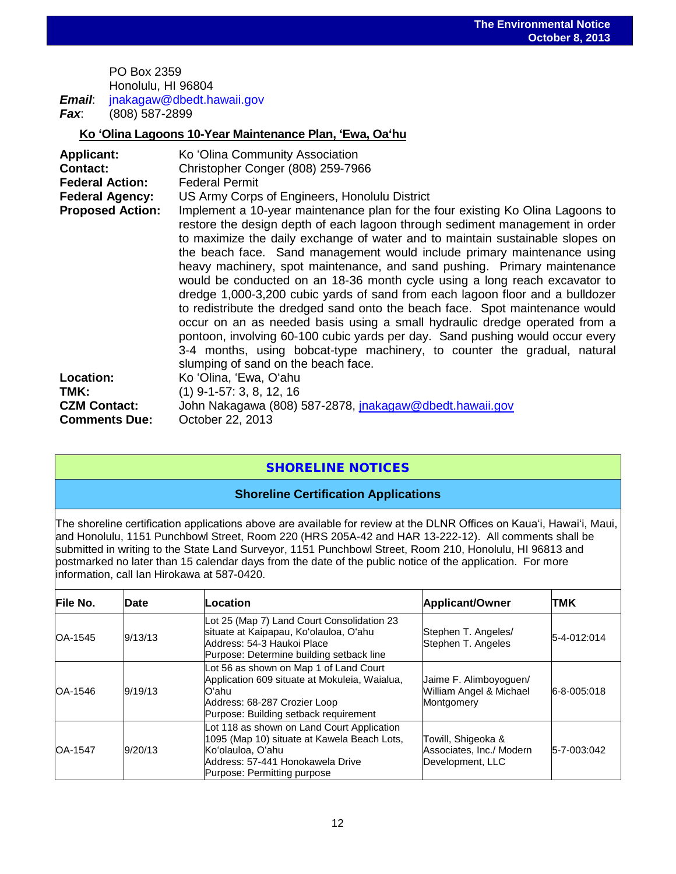PO Box 2359 Honolulu, HI 96804 *Email*: jnakagaw@dbedt.hawaii.gov *Fax*: (808) 587-2899

**Ko ʻOlina Lagoons 10-Year Maintenance Plan, ʻEwa, Oaʻhu**

| <b>Applicant:</b>       | Ko 'Olina Community Association                                                                                                                                                                                                                                                                                                                                                                                                                                                                                                                                                                                                                                                                                                                                                                                                                                                                                                         |
|-------------------------|-----------------------------------------------------------------------------------------------------------------------------------------------------------------------------------------------------------------------------------------------------------------------------------------------------------------------------------------------------------------------------------------------------------------------------------------------------------------------------------------------------------------------------------------------------------------------------------------------------------------------------------------------------------------------------------------------------------------------------------------------------------------------------------------------------------------------------------------------------------------------------------------------------------------------------------------|
| <b>Contact:</b>         | Christopher Conger (808) 259-7966                                                                                                                                                                                                                                                                                                                                                                                                                                                                                                                                                                                                                                                                                                                                                                                                                                                                                                       |
| <b>Federal Action:</b>  | <b>Federal Permit</b>                                                                                                                                                                                                                                                                                                                                                                                                                                                                                                                                                                                                                                                                                                                                                                                                                                                                                                                   |
| <b>Federal Agency:</b>  | US Army Corps of Engineers, Honolulu District                                                                                                                                                                                                                                                                                                                                                                                                                                                                                                                                                                                                                                                                                                                                                                                                                                                                                           |
| <b>Proposed Action:</b> | Implement a 10-year maintenance plan for the four existing Ko Olina Lagoons to<br>restore the design depth of each lagoon through sediment management in order<br>to maximize the daily exchange of water and to maintain sustainable slopes on<br>the beach face. Sand management would include primary maintenance using<br>heavy machinery, spot maintenance, and sand pushing. Primary maintenance<br>would be conducted on an 18-36 month cycle using a long reach excavator to<br>dredge 1,000-3,200 cubic yards of sand from each lagoon floor and a bulldozer<br>to redistribute the dredged sand onto the beach face. Spot maintenance would<br>occur on an as needed basis using a small hydraulic dredge operated from a<br>pontoon, involving 60-100 cubic yards per day. Sand pushing would occur every<br>3-4 months, using bobcat-type machinery, to counter the gradual, natural<br>slumping of sand on the beach face. |
| Location:               | Ko 'Olina, 'Ewa, O'ahu                                                                                                                                                                                                                                                                                                                                                                                                                                                                                                                                                                                                                                                                                                                                                                                                                                                                                                                  |
| TMK:                    | $(1)$ 9-1-57: 3, 8, 12, 16                                                                                                                                                                                                                                                                                                                                                                                                                                                                                                                                                                                                                                                                                                                                                                                                                                                                                                              |
| <b>CZM Contact:</b>     | John Nakagawa (808) 587-2878, jnakagaw@dbedt.hawaii.gov                                                                                                                                                                                                                                                                                                                                                                                                                                                                                                                                                                                                                                                                                                                                                                                                                                                                                 |
| <b>Comments Due:</b>    | October 22, 2013                                                                                                                                                                                                                                                                                                                                                                                                                                                                                                                                                                                                                                                                                                                                                                                                                                                                                                                        |

## SHORELINE NOTICES

#### **Shoreline Certification Applications**

The shoreline certification applications above are available for review at the DLNR Offices on Kauaʻi, Hawaiʻi, Maui, and Honolulu, 1151 Punchbowl Street, Room 220 (HRS 205A-42 and HAR 13-222-12). All comments shall be submitted in writing to the State Land Surveyor, 1151 Punchbowl Street, Room 210, Honolulu, HI 96813 and postmarked no later than 15 calendar days from the date of the public notice of the application. For more information, call Ian Hirokawa at 587-0420.

| <b>File No.</b> | Date    | Location                                                                                                                                                                          | Applicant/Owner                                                    | <b>TMK</b>  |
|-----------------|---------|-----------------------------------------------------------------------------------------------------------------------------------------------------------------------------------|--------------------------------------------------------------------|-------------|
| OA-1545         | 9/13/13 | Lot 25 (Map 7) Land Court Consolidation 23<br>situate at Kaipapau, Ko'olauloa, O'ahu<br>Address: 54-3 Haukoi Place<br>Purpose: Determine building setback line                    | Stephen T. Angeles/<br>Stephen T. Angeles                          | 5-4-012:014 |
| OA-1546         | 9/19/13 | Lot 56 as shown on Map 1 of Land Court<br>Application 609 situate at Mokuleia, Waialua,<br>lOʻahu<br>Address: 68-287 Crozier Loop<br>Purpose: Building setback requirement        | Jaime F. Alimboyoguen/<br>William Angel & Michael<br>Montgomery    | 6-8-005:018 |
| <b>OA-1547</b>  | 9/20/13 | Lot 118 as shown on Land Court Application<br>1095 (Map 10) situate at Kawela Beach Lots,<br>Koʻolauloa. Oʻahu<br>Address: 57-441 Honokawela Drive<br>Purpose: Permitting purpose | Towill, Shigeoka &<br>Associates, Inc./ Modern<br>Development, LLC | 5-7-003:042 |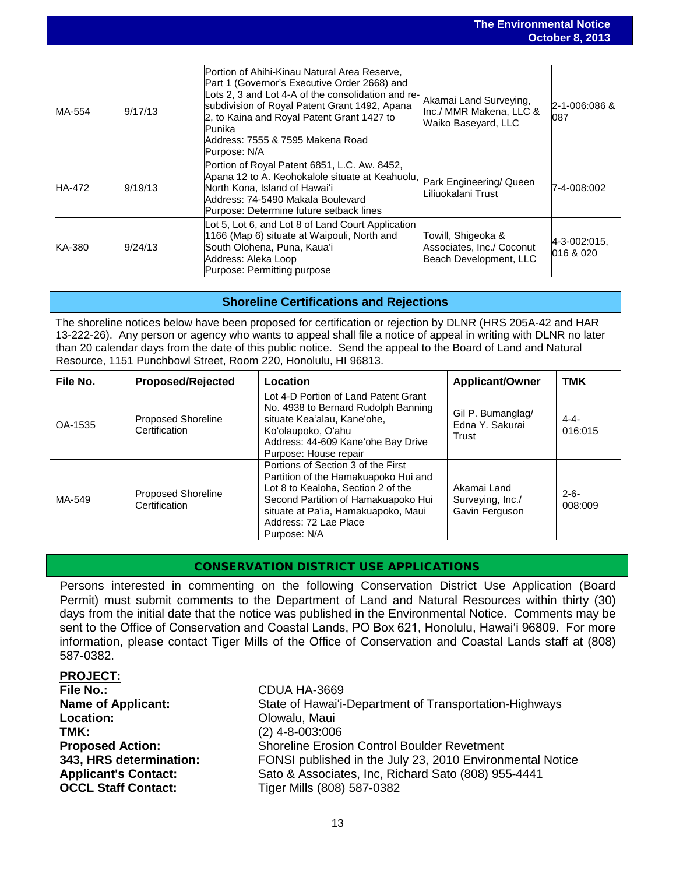|               |         |                                                                                                                                                                                                                                                                                                                    |                                                                           | UULUNUI ULLUIU            |
|---------------|---------|--------------------------------------------------------------------------------------------------------------------------------------------------------------------------------------------------------------------------------------------------------------------------------------------------------------------|---------------------------------------------------------------------------|---------------------------|
|               |         |                                                                                                                                                                                                                                                                                                                    |                                                                           |                           |
| MA-554        | 9/17/13 | Portion of Ahihi-Kinau Natural Area Reserve,<br>Part 1 (Governor's Executive Order 2668) and<br>Lots 2, 3 and Lot 4-A of the consolidation and re-<br>subdivision of Royal Patent Grant 1492, Apana<br>2, to Kaina and Royal Patent Grant 1427 to<br>lPunika.<br>lAddress: 7555 & 7595 Makena Road<br>Purpose: N/A | Akamai Land Surveying,<br>Inc./ MMR Makena, LLC &<br>Waiko Baseyard, LLC  | 2-1-006:086 &<br>087      |
| <b>HA-472</b> | 9/19/13 | Portion of Royal Patent 6851, L.C. Aw. 8452,<br>Apana 12 to A. Keohokalole situate at Keahuolu,<br>North Kona, Island of Hawai'i<br>Address: 74-5490 Makala Boulevard<br>Purpose: Determine future setback lines                                                                                                   | Park Engineering/ Queen<br>Liliuokalani Trust                             | 7-4-008:002               |
| KA-380        | 9/24/13 | Lot 5, Lot 6, and Lot 8 of Land Court Application<br>1166 (Map 6) situate at Waipouli, North and<br>South Olohena, Puna, Kaua'i<br>Address: Aleka Loop<br>Purpose: Permitting purpose                                                                                                                              | Towill, Shigeoka &<br>Associates, Inc./ Coconut<br>Beach Development, LLC | 4-3-002:015,<br>016 & 020 |

#### **Shoreline Certifications and Rejections**

The shoreline notices below have been proposed for certification or rejection by DLNR (HRS 205A-42 and HAR 13-222-26). Any person or agency who wants to appeal shall file a notice of appeal in writing with DLNR no later than 20 calendar days from the date of this public notice. Send the appeal to the Board of Land and Natural Resource, 1151 Punchbowl Street, Room 220, Honolulu, HI 96813.

| File No. | <b>Proposed/Rejected</b>                   | Location                                                                                                                                                                                                                                | <b>Applicant/Owner</b>                            | <b>TMK</b>           |
|----------|--------------------------------------------|-----------------------------------------------------------------------------------------------------------------------------------------------------------------------------------------------------------------------------------------|---------------------------------------------------|----------------------|
| OA-1535  | <b>Proposed Shoreline</b><br>Certification | Lot 4-D Portion of Land Patent Grant<br>No. 4938 to Bernard Rudolph Banning<br>situate Kea'alau, Kane'ohe,<br>Ko'olaupoko, O'ahu<br>Address: 44-609 Kane'ohe Bay Drive<br>Purpose: House repair                                         | Gil P. Bumanglag/<br>Edna Y. Sakurai<br>Trust     | $4 - 4 -$<br>016:015 |
| MA-549   | <b>Proposed Shoreline</b><br>Certification | Portions of Section 3 of the First<br>Partition of the Hamakuapoko Hui and<br>Lot 8 to Kealoha, Section 2 of the<br>Second Partition of Hamakuapoko Hui<br>situate at Pa'ia, Hamakuapoko, Maui<br>Address: 72 Lae Place<br>Purpose: N/A | Akamai Land<br>Surveying, Inc./<br>Gavin Ferguson | $2 - 6 -$<br>008:009 |

## CONSERVATION DISTRICT USE APPLICATIONS

Persons interested in commenting on the following Conservation District Use Application (Board Permit) must submit comments to the Department of Land and Natural Resources within thirty (30) days from the initial date that the notice was published in the Environmental Notice. Comments may be sent to the Office of Conservation and Coastal Lands, PO Box 621, Honolulu, Hawai'i 96809. For more information, please contact Tiger Mills of the Office of Conservation and Coastal Lands staff at (808) 587-0382.

## **PROJECT: File No.:**<br> **Name of Applicant:**<br> **Name of Applicant:**<br> **State of Hawai'i-**State of Hawai'i-Department of Transportation-Highways **Location:** Olowalu, Maui **TMK:** (2) 4-8-003:006 **Proposed Action:** Shoreline Erosion Control Boulder Revetment<br>**343. HRS determination:** FONSI published in the July 23, 2010 Environr **343, HRS determination:** FONSI published in the July 23, 2010 Environmental Notice Applicant's Contact:<br> **Sato & Associates, Inc, Richard Sato (808) 955-4441**<br> **OCCL Staff Contact:** Tiger Mills (808) 587-0382 **OCCL Staff Contact:** Tiger Mills (808) 587-0382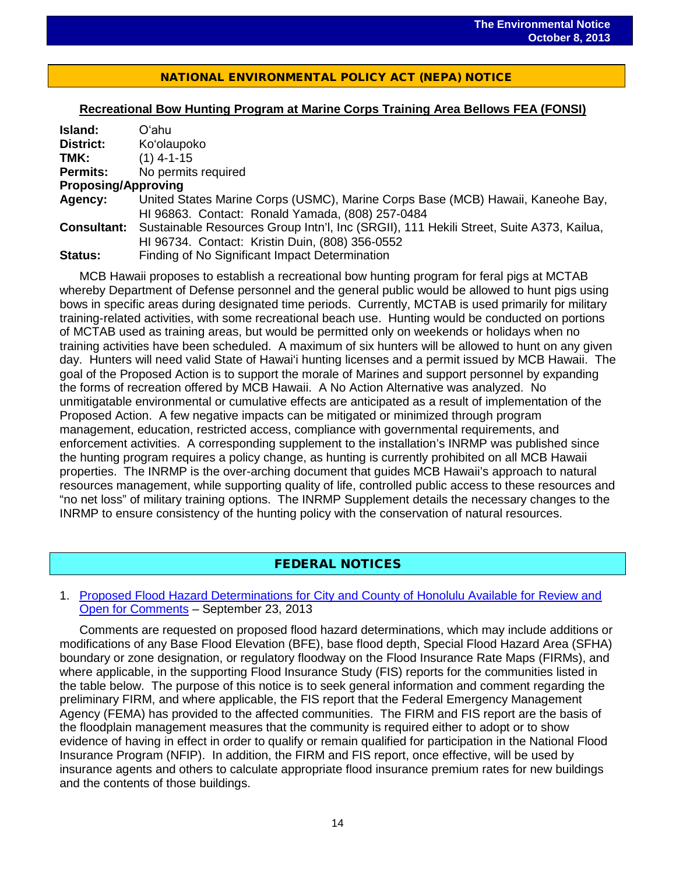## NATIONAL ENVIRONMENTAL POLICY ACT (NEPA) NOTICE

 $\overline{a}$ 

#### **Recreational Bow Hunting Program at Marine Corps Training Area Bellows FEA (FONSI)**

| Island:                    | Oʻahu                                                                                   |
|----------------------------|-----------------------------------------------------------------------------------------|
| District:                  | Ko'olaupoko                                                                             |
| TMK:                       | $(1)$ 4-1-15                                                                            |
| <b>Permits:</b>            | No permits required                                                                     |
| <b>Proposing/Approving</b> |                                                                                         |
| Agency:                    | United States Marine Corps (USMC), Marine Corps Base (MCB) Hawaii, Kaneohe Bay,         |
|                            | HI 96863. Contact: Ronald Yamada, (808) 257-0484                                        |
| <b>Consultant:</b>         | Sustainable Resources Group Intn'l, Inc (SRGII), 111 Hekili Street, Suite A373, Kailua, |
|                            | HI 96734. Contact: Kristin Duin, (808) 356-0552                                         |
| <b>Status:</b>             | Finding of No Significant Impact Determination                                          |

MCB Hawaii proposes to establish a recreational bow hunting program for feral pigs at MCTAB whereby Department of Defense personnel and the general public would be allowed to hunt pigs using bows in specific areas during designated time periods. Currently, MCTAB is used primarily for military training-related activities, with some recreational beach use. Hunting would be conducted on portions of MCTAB used as training areas, but would be permitted only on weekends or holidays when no training activities have been scheduled. A maximum of six hunters will be allowed to hunt on any given day. Hunters will need valid State of Hawai'i hunting licenses and a permit issued by MCB Hawaii. The goal of the Proposed Action is to support the morale of Marines and support personnel by expanding the forms of recreation offered by MCB Hawaii. A No Action Alternative was analyzed. No unmitigatable environmental or cumulative effects are anticipated as a result of implementation of the Proposed Action. A few negative impacts can be mitigated or minimized through program management, education, restricted access, compliance with governmental requirements, and enforcement activities. A corresponding supplement to the installation's INRMP was published since the hunting program requires a policy change, as hunting is currently prohibited on all MCB Hawaii properties. The INRMP is the over-arching document that guides MCB Hawaii's approach to natural resources management, while supporting quality of life, controlled public access to these resources and "no net loss" of military training options. The INRMP Supplement details the necessary changes to the INRMP to ensure consistency of the hunting policy with the conservation of natural resources.

## FEDERAL NOTICES

#### 1. [Proposed Flood Hazard Determinations for City and County of Honolulu Available for Review and](http://www.gpo.gov/fdsys/pkg/FR-2013-09-23/pdf/2013-23065.pdf)  [Open for Comments](http://www.gpo.gov/fdsys/pkg/FR-2013-09-23/pdf/2013-23065.pdf) – September 23, 2013

Comments are requested on proposed flood hazard determinations, which may include additions or modifications of any Base Flood Elevation (BFE), base flood depth, Special Flood Hazard Area (SFHA) boundary or zone designation, or regulatory floodway on the Flood Insurance Rate Maps (FIRMs), and where applicable, in the supporting Flood Insurance Study (FIS) reports for the communities listed in the table below. The purpose of this notice is to seek general information and comment regarding the preliminary FIRM, and where applicable, the FIS report that the Federal Emergency Management Agency (FEMA) has provided to the affected communities. The FIRM and FIS report are the basis of the floodplain management measures that the community is required either to adopt or to show evidence of having in effect in order to qualify or remain qualified for participation in the National Flood Insurance Program (NFIP). In addition, the FIRM and FIS report, once effective, will be used by insurance agents and others to calculate appropriate flood insurance premium rates for new buildings and the contents of those buildings.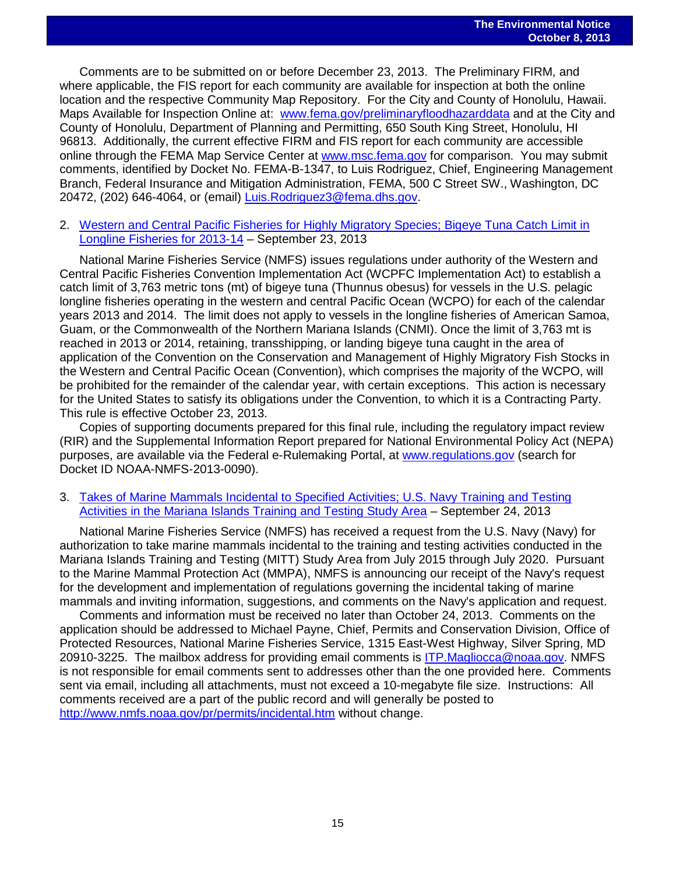Comments are to be submitted on or before December 23, 2013. The Preliminary FIRM, and where applicable, the FIS report for each community are available for inspection at both the online location and the respective Community Map Repository. For the City and County of Honolulu, Hawaii. Maps Available for Inspection Online at: [www.fema.gov/preliminaryfloodhazarddata](http://www.fema.gov/preliminaryfloodhazarddata) and at the City and County of Honolulu, Department of Planning and Permitting, 650 South King Street, Honolulu, HI 96813. Additionally, the current effective FIRM and FIS report for each community are accessible online through the FEMA Map Service Center at [www.msc.fema.gov](http://www.msc.fema.gov/) for comparison. You may submit comments, identified by Docket No. FEMA-B-1347, to Luis Rodriguez, Chief, Engineering Management Branch, Federal Insurance and Mitigation Administration, FEMA, 500 C Street SW., Washington, DC 20472, (202) 646-4064, or (email) [Luis.Rodriguez3@fema.dhs.gov.](mailto:Luis.Rodriguez3@fema.dhs.gov)

2. Western and Central Pacific Fisheries for Highly Migratory Species; Bigeye Tuna Catch Limit in [Longline Fisheries for 2013-14](http://www.gpo.gov/fdsys/pkg/FR-2013-09-23/pdf/2013-23106.pdf) – September 23, 2013

National Marine Fisheries Service (NMFS) issues regulations under authority of the Western and Central Pacific Fisheries Convention Implementation Act (WCPFC Implementation Act) to establish a catch limit of 3,763 metric tons (mt) of bigeye tuna (Thunnus obesus) for vessels in the U.S. pelagic longline fisheries operating in the western and central Pacific Ocean (WCPO) for each of the calendar years 2013 and 2014. The limit does not apply to vessels in the longline fisheries of American Samoa, Guam, or the Commonwealth of the Northern Mariana Islands (CNMI). Once the limit of 3,763 mt is reached in 2013 or 2014, retaining, transshipping, or landing bigeye tuna caught in the area of application of the Convention on the Conservation and Management of Highly Migratory Fish Stocks in the Western and Central Pacific Ocean (Convention), which comprises the majority of the WCPO, will be prohibited for the remainder of the calendar year, with certain exceptions. This action is necessary for the United States to satisfy its obligations under the Convention, to which it is a Contracting Party. This rule is effective October 23, 2013.

Copies of supporting documents prepared for this final rule, including the regulatory impact review (RIR) and the Supplemental Information Report prepared for National Environmental Policy Act (NEPA) purposes, are available via the Federal e-Rulemaking Portal, at [www.regulations.gov](http://www.regulations.gov/) (search for Docket ID NOAA-NMFS-2013-0090).

3. [Takes of Marine Mammals Incidental to Specified Activities; U.S. Navy Training and Testing](http://www.gpo.gov/fdsys/pkg/FR-2013-09-24/pdf/2013-23105.pdf)  [Activities in the Mariana Islands Training and Testing Study Area](http://www.gpo.gov/fdsys/pkg/FR-2013-09-24/pdf/2013-23105.pdf) – September 24, 2013

National Marine Fisheries Service (NMFS) has received a request from the U.S. Navy (Navy) for authorization to take marine mammals incidental to the training and testing activities conducted in the Mariana Islands Training and Testing (MITT) Study Area from July 2015 through July 2020. Pursuant to the Marine Mammal Protection Act (MMPA), NMFS is announcing our receipt of the Navy's request for the development and implementation of regulations governing the incidental taking of marine mammals and inviting information, suggestions, and comments on the Navy's application and request.

Comments and information must be received no later than October 24, 2013. Comments on the application should be addressed to Michael Payne, Chief, Permits and Conservation Division, Office of Protected Resources, National Marine Fisheries Service, 1315 East-West Highway, Silver Spring, MD 20910-3225. The mailbox address for providing email comments is [ITP.Magliocca@noaa.gov.](mailto:ITP.Magliocca@noaa.gov) NMFS is not responsible for email comments sent to addresses other than the one provided here. Comments sent via email, including all attachments, must not exceed a 10-megabyte file size. Instructions: All comments received are a part of the public record and will generally be posted to <http://www.nmfs.noaa.gov/pr/permits/incidental.htm> without change.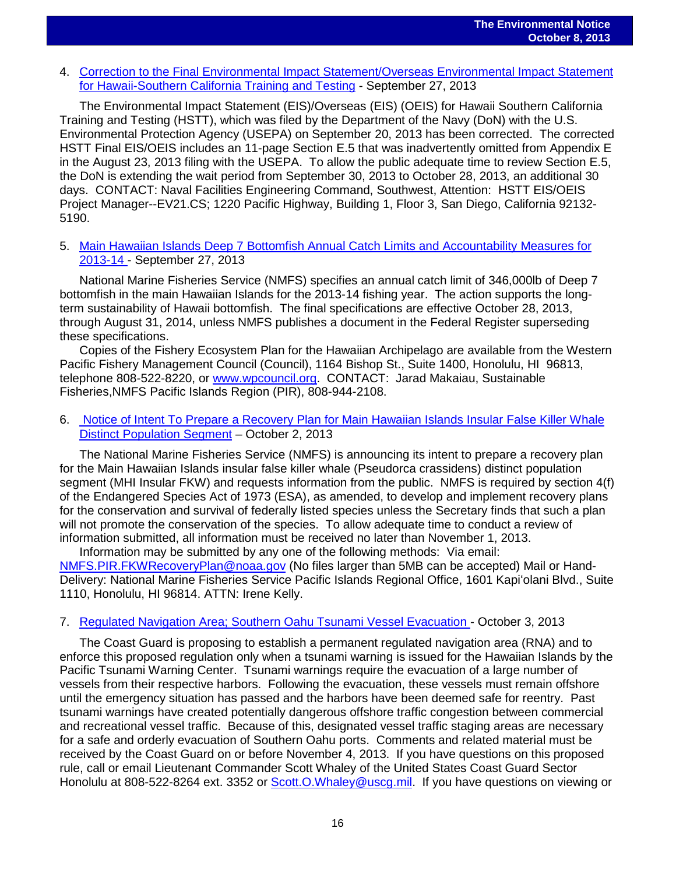4. [Correction to the Final Environmental Impact Statement/Overseas Environmental Impact Statement](http://www.gpo.gov/fdsys/pkg/FR-2013-09-27/pdf/2013-23607.pdf)  [for Hawaii-Southern California Training and Testing](http://www.gpo.gov/fdsys/pkg/FR-2013-09-27/pdf/2013-23607.pdf) - September 27, 2013

The Environmental Impact Statement (EIS)/Overseas (EIS) (OEIS) for Hawaii Southern California Training and Testing (HSTT), which was filed by the Department of the Navy (DoN) with the U.S. Environmental Protection Agency (USEPA) on September 20, 2013 has been corrected. The corrected HSTT Final EIS/OEIS includes an 11-page Section E.5 that was inadvertently omitted from Appendix E in the August 23, 2013 filing with the USEPA. To allow the public adequate time to review Section E.5, the DoN is extending the wait period from September 30, 2013 to October 28, 2013, an additional 30 days. CONTACT: Naval Facilities Engineering Command, Southwest, Attention: HSTT EIS/OEIS Project Manager--EV21.CS; 1220 Pacific Highway, Building 1, Floor 3, San Diego, California 92132- 5190.

5. [Main Hawaiian Islands Deep 7 Bottomfish Annual Catch Limits and Accountability Measures for](http://www.gpo.gov/fdsys/pkg/FR-2013-09-27/pdf/2013-23675.pdf)  [2013-14](http://www.gpo.gov/fdsys/pkg/FR-2013-09-27/pdf/2013-23675.pdf) - September 27, 2013

National Marine Fisheries Service (NMFS) specifies an annual catch limit of 346,000lb of Deep 7 bottomfish in the main Hawaiian Islands for the 2013-14 fishing year. The action supports the longterm sustainability of Hawaii bottomfish. The final specifications are effective October 28, 2013, through August 31, 2014, unless NMFS publishes a document in the Federal Register superseding these specifications.

Copies of the Fishery Ecosystem Plan for the Hawaiian Archipelago are available from the Western Pacific Fishery Management Council (Council), 1164 Bishop St., Suite 1400, Honolulu, HI 96813, telephone 808-522-8220, or [www.wpcouncil.org.](http://www.wpcouncil.org/) CONTACT: Jarad Makaiau, Sustainable Fisheries,NMFS Pacific Islands Region (PIR), 808-944-2108.

6. [Notice of Intent To Prepare a Recovery Plan for Main Hawaiian Islands Insular False Killer Whale](http://www.gpo.gov/fdsys/pkg/FR-2013-10-02/pdf/2013-24049.pdf)  [Distinct Population Segment](http://www.gpo.gov/fdsys/pkg/FR-2013-10-02/pdf/2013-24049.pdf) – October 2, 2013

The National Marine Fisheries Service (NMFS) is announcing its intent to prepare a recovery plan for the Main Hawaiian Islands insular false killer whale (Pseudorca crassidens) distinct population segment (MHI Insular FKW) and requests information from the public. NMFS is required by section 4(f) of the Endangered Species Act of 1973 (ESA), as amended, to develop and implement recovery plans for the conservation and survival of federally listed species unless the Secretary finds that such a plan will not promote the conservation of the species. To allow adequate time to conduct a review of information submitted, all information must be received no later than November 1, 2013.

Information may be submitted by any one of the following methods: Via email: [NMFS.PIR.FKWRecoveryPlan@noaa.gov](mailto:NMFS.PIR.FKWRecoveryPlan@noaa.gov) (No files larger than 5MB can be accepted) Mail or Hand-Delivery: National Marine Fisheries Service Pacific Islands Regional Office, 1601 Kapiʻolani Blvd., Suite 1110, Honolulu, HI 96814. ATTN: Irene Kelly.

#### 7. [Regulated Navigation Area; Southern Oahu Tsunami Vessel Evacuation](http://www.gpo.gov/fdsys/pkg/FR-2013-10-03/pdf/2013-24150.pdf) - October 3, 2013

The Coast Guard is proposing to establish a permanent regulated navigation area (RNA) and to enforce this proposed regulation only when a tsunami warning is issued for the Hawaiian Islands by the Pacific Tsunami Warning Center. Tsunami warnings require the evacuation of a large number of vessels from their respective harbors. Following the evacuation, these vessels must remain offshore until the emergency situation has passed and the harbors have been deemed safe for reentry. Past tsunami warnings have created potentially dangerous offshore traffic congestion between commercial and recreational vessel traffic. Because of this, designated vessel traffic staging areas are necessary for a safe and orderly evacuation of Southern Oahu ports. Comments and related material must be received by the Coast Guard on or before November 4, 2013. If you have questions on this proposed rule, call or email Lieutenant Commander Scott Whaley of the United States Coast Guard Sector Honolulu at 808-522-8264 ext. 3352 or [Scott.O.Whaley@uscg.mil.](mailto:Scott.O.Whaley@uscg.mil) If you have questions on viewing or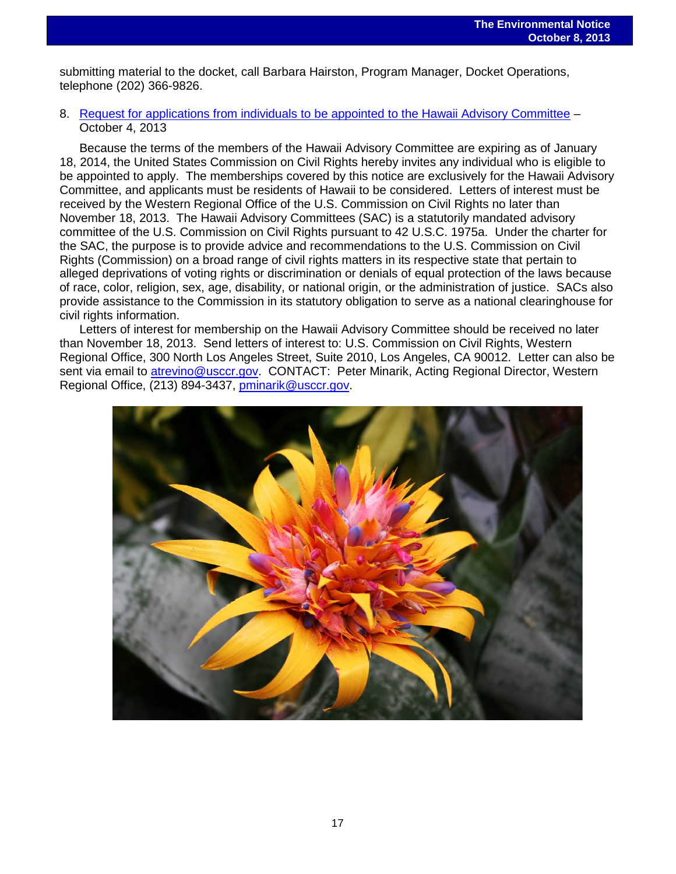submitting material to the docket, call Barbara Hairston, Program Manager, Docket Operations, telephone (202) 366-9826.

#### 8. [Request for applications from individuals to be appointed to the Hawaii Advisory Committee](http://www.gpo.gov/fdsys/pkg/FR-2013-10-04/pdf/2013-24299.pdf) – October 4, 2013

Because the terms of the members of the Hawaii Advisory Committee are expiring as of January 18, 2014, the United States Commission on Civil Rights hereby invites any individual who is eligible to be appointed to apply. The memberships covered by this notice are exclusively for the Hawaii Advisory Committee, and applicants must be residents of Hawaii to be considered. Letters of interest must be received by the Western Regional Office of the U.S. Commission on Civil Rights no later than November 18, 2013. The Hawaii Advisory Committees (SAC) is a statutorily mandated advisory committee of the U.S. Commission on Civil Rights pursuant to 42 U.S.C. 1975a. Under the charter for the SAC, the purpose is to provide advice and recommendations to the U.S. Commission on Civil Rights (Commission) on a broad range of civil rights matters in its respective state that pertain to alleged deprivations of voting rights or discrimination or denials of equal protection of the laws because of race, color, religion, sex, age, disability, or national origin, or the administration of justice. SACs also provide assistance to the Commission in its statutory obligation to serve as a national clearinghouse for civil rights information.

Letters of interest for membership on the Hawaii Advisory Committee should be received no later than November 18, 2013. Send letters of interest to: U.S. Commission on Civil Rights, Western Regional Office, 300 North Los Angeles Street, Suite 2010, Los Angeles, CA 90012. Letter can also be sent via email to [atrevino@usccr.gov.](mailto:atrevino@usccr.gov) CONTACT: Peter Minarik, Acting Regional Director, Western Regional Office, (213) 894-3437, [pminarik@usccr.gov.](mailto:pminarik@usccr.gov)